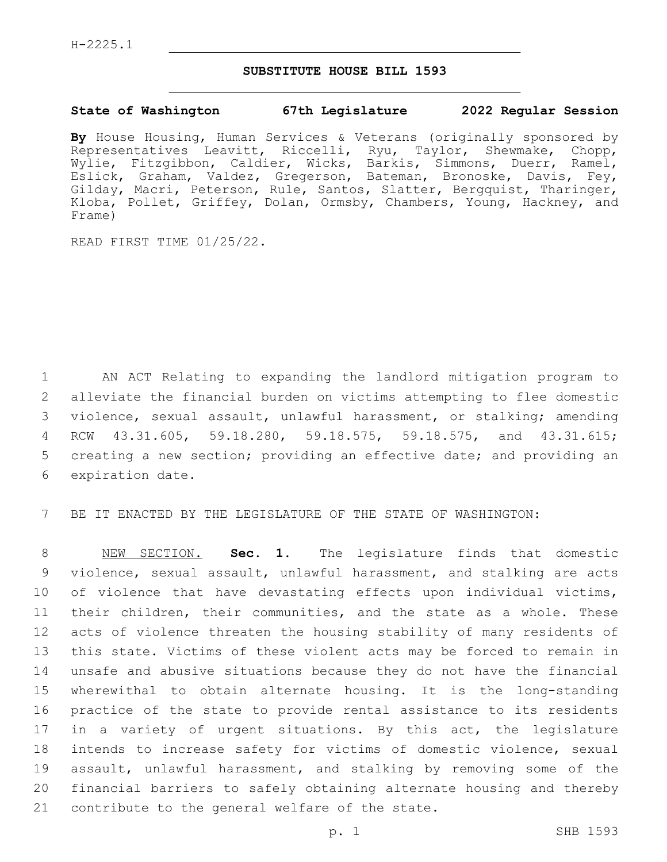## **SUBSTITUTE HOUSE BILL 1593**

## **State of Washington 67th Legislature 2022 Regular Session**

**By** House Housing, Human Services & Veterans (originally sponsored by Representatives Leavitt, Riccelli, Ryu, Taylor, Shewmake, Chopp, Wylie, Fitzgibbon, Caldier, Wicks, Barkis, Simmons, Duerr, Ramel, Eslick, Graham, Valdez, Gregerson, Bateman, Bronoske, Davis, Fey, Gilday, Macri, Peterson, Rule, Santos, Slatter, Bergquist, Tharinger, Kloba, Pollet, Griffey, Dolan, Ormsby, Chambers, Young, Hackney, and Frame)

READ FIRST TIME 01/25/22.

 AN ACT Relating to expanding the landlord mitigation program to alleviate the financial burden on victims attempting to flee domestic violence, sexual assault, unlawful harassment, or stalking; amending RCW 43.31.605, 59.18.280, 59.18.575, 59.18.575, and 43.31.615; creating a new section; providing an effective date; and providing an 6 expiration date.

7 BE IT ENACTED BY THE LEGISLATURE OF THE STATE OF WASHINGTON:

 NEW SECTION. **Sec. 1.** The legislature finds that domestic violence, sexual assault, unlawful harassment, and stalking are acts 10 of violence that have devastating effects upon individual victims, their children, their communities, and the state as a whole. These acts of violence threaten the housing stability of many residents of this state. Victims of these violent acts may be forced to remain in unsafe and abusive situations because they do not have the financial wherewithal to obtain alternate housing. It is the long-standing practice of the state to provide rental assistance to its residents in a variety of urgent situations. By this act, the legislature intends to increase safety for victims of domestic violence, sexual assault, unlawful harassment, and stalking by removing some of the financial barriers to safely obtaining alternate housing and thereby contribute to the general welfare of the state.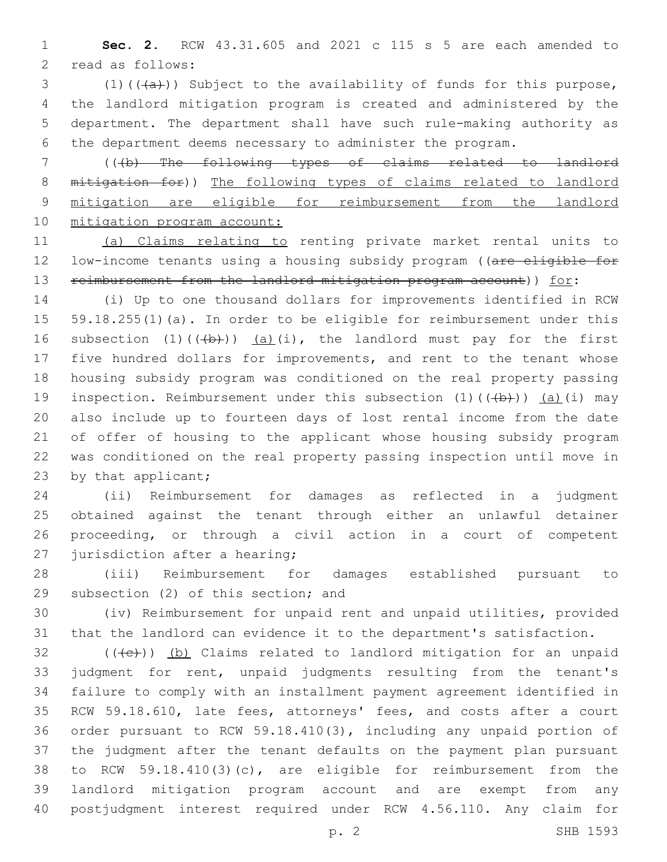**Sec. 2.** RCW 43.31.605 and 2021 c 115 s 5 are each amended to 2 read as follows:

3 (1)( $(\overline{a})$ ) Subject to the availability of funds for this purpose, the landlord mitigation program is created and administered by the department. The department shall have such rule-making authority as the department deems necessary to administer the program.

 (((b) The following types of claims related to landlord mitigation for)) The following types of claims related to landlord mitigation are eligible for reimbursement from the landlord 10 mitigation program account:

 (a) Claims relating to renting private market rental units to 12 low-income tenants using a housing subsidy program ((are eligible for 13 reimbursement from the landlord mitigation program account)) for:

 (i) Up to one thousand dollars for improvements identified in RCW 59.18.255(1)(a). In order to be eligible for reimbursement under this 16 subsection  $(1)$   $((+b))$   $(a)$   $(i)$ , the landlord must pay for the first five hundred dollars for improvements, and rent to the tenant whose housing subsidy program was conditioned on the real property passing 19 inspection. Reimbursement under this subsection  $(1)$   $((+b))$   $(a)$   $(i)$  may also include up to fourteen days of lost rental income from the date of offer of housing to the applicant whose housing subsidy program was conditioned on the real property passing inspection until move in 23 by that applicant;

 (ii) Reimbursement for damages as reflected in a judgment obtained against the tenant through either an unlawful detainer proceeding, or through a civil action in a court of competent 27 jurisdiction after a hearing;

 (iii) Reimbursement for damages established pursuant to 29 subsection (2) of this section; and

 (iv) Reimbursement for unpaid rent and unpaid utilities, provided that the landlord can evidence it to the department's satisfaction.

 (( $\left(\frac{1}{10}\right)$ ) (b) Claims related to landlord mitigation for an unpaid judgment for rent, unpaid judgments resulting from the tenant's failure to comply with an installment payment agreement identified in RCW 59.18.610, late fees, attorneys' fees, and costs after a court order pursuant to RCW 59.18.410(3), including any unpaid portion of the judgment after the tenant defaults on the payment plan pursuant to RCW 59.18.410(3)(c), are eligible for reimbursement from the landlord mitigation program account and are exempt from any postjudgment interest required under RCW 4.56.110. Any claim for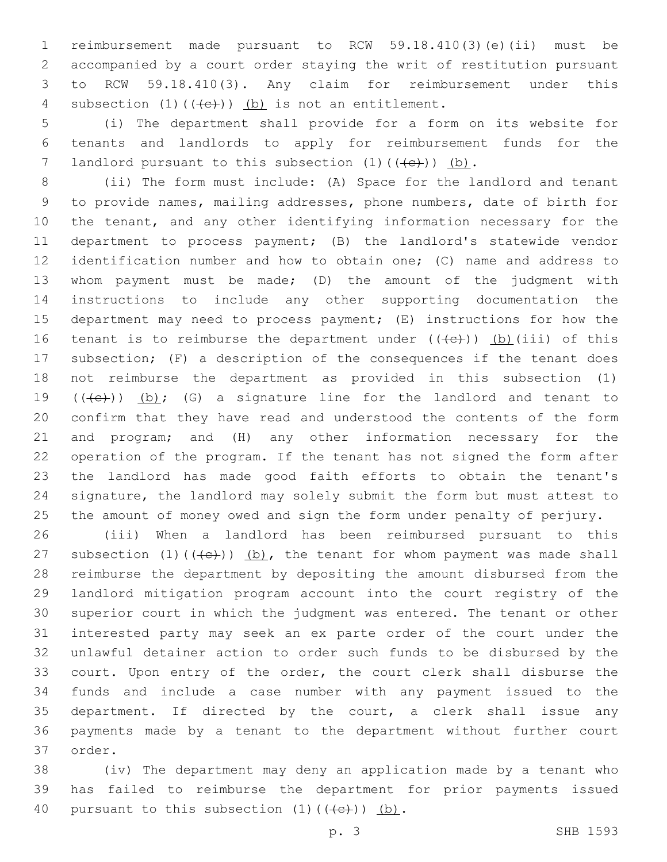reimbursement made pursuant to RCW 59.18.410(3)(e)(ii) must be accompanied by a court order staying the writ of restitution pursuant to RCW 59.18.410(3). Any claim for reimbursement under this 4 subsection  $(1)$   $((e+))$   $(b)$  is not an entitlement.

 (i) The department shall provide for a form on its website for tenants and landlords to apply for reimbursement funds for the 7 landlord pursuant to this subsection  $(1)$   $((+e+))$  (b).

 (ii) The form must include: (A) Space for the landlord and tenant to provide names, mailing addresses, phone numbers, date of birth for the tenant, and any other identifying information necessary for the department to process payment; (B) the landlord's statewide vendor identification number and how to obtain one; (C) name and address to whom payment must be made; (D) the amount of the judgment with instructions to include any other supporting documentation the department may need to process payment; (E) instructions for how the 16 tenant is to reimburse the department under  $((+e))$  (b)(iii) of this subsection; (F) a description of the consequences if the tenant does not reimburse the department as provided in this subsection (1)  $((+e))$   $(b)$ ; (G) a signature line for the landlord and tenant to confirm that they have read and understood the contents of the form and program; and (H) any other information necessary for the operation of the program. If the tenant has not signed the form after the landlord has made good faith efforts to obtain the tenant's signature, the landlord may solely submit the form but must attest to the amount of money owed and sign the form under penalty of perjury.

 (iii) When a landlord has been reimbursed pursuant to this 27 subsection  $(1)$   $((e+))$   $(b)$ , the tenant for whom payment was made shall reimburse the department by depositing the amount disbursed from the landlord mitigation program account into the court registry of the superior court in which the judgment was entered. The tenant or other interested party may seek an ex parte order of the court under the unlawful detainer action to order such funds to be disbursed by the court. Upon entry of the order, the court clerk shall disburse the funds and include a case number with any payment issued to the department. If directed by the court, a clerk shall issue any payments made by a tenant to the department without further court 37 order.

 (iv) The department may deny an application made by a tenant who has failed to reimburse the department for prior payments issued 40 pursuant to this subsection  $(1)$   $((e+))$   $(b)$ .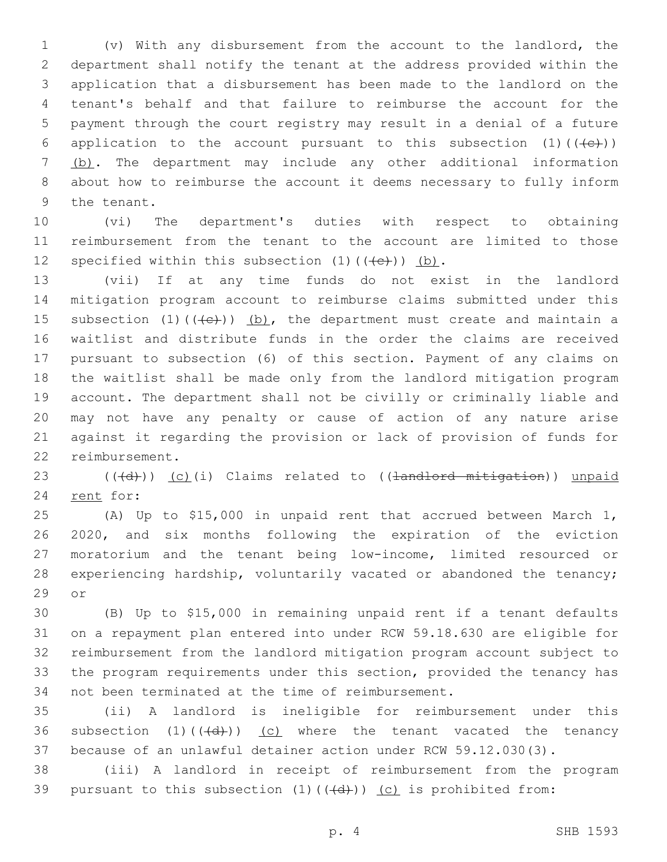(v) With any disbursement from the account to the landlord, the department shall notify the tenant at the address provided within the application that a disbursement has been made to the landlord on the tenant's behalf and that failure to reimburse the account for the payment through the court registry may result in a denial of a future 6 application to the account pursuant to this subsection  $(1)$  ( $(\leftarrow\leftarrow\leftarrow)$ ) (b). The department may include any other additional information about how to reimburse the account it deems necessary to fully inform 9 the tenant.

 (vi) The department's duties with respect to obtaining reimbursement from the tenant to the account are limited to those 12 specified within this subsection  $(1)$   $((e+))$   $(b)$ .

 (vii) If at any time funds do not exist in the landlord mitigation program account to reimburse claims submitted under this 15 subsection  $(1)$   $((e+))$   $(b)$ , the department must create and maintain a waitlist and distribute funds in the order the claims are received pursuant to subsection (6) of this section. Payment of any claims on the waitlist shall be made only from the landlord mitigation program account. The department shall not be civilly or criminally liable and may not have any penalty or cause of action of any nature arise against it regarding the provision or lack of provision of funds for 22 reimbursement.

 ( $(\overline{d})$ ) (c)(i) Claims related to ((<del>landlord mitigation</del>)) unpaid 24 rent for:

 (A) Up to \$15,000 in unpaid rent that accrued between March 1, 2020, and six months following the expiration of the eviction moratorium and the tenant being low-income, limited resourced or experiencing hardship, voluntarily vacated or abandoned the tenancy; 29 or

 (B) Up to \$15,000 in remaining unpaid rent if a tenant defaults on a repayment plan entered into under RCW 59.18.630 are eligible for reimbursement from the landlord mitigation program account subject to the program requirements under this section, provided the tenancy has 34 not been terminated at the time of reimbursement.

 (ii) A landlord is ineligible for reimbursement under this 36 subsection  $(1)$   $((\overline{d}))$   $(c)$  where the tenant vacated the tenancy because of an unlawful detainer action under RCW 59.12.030(3).

 (iii) A landlord in receipt of reimbursement from the program 39 pursuant to this subsection  $(1)$   $((\{d\})$   $)(c)$  is prohibited from: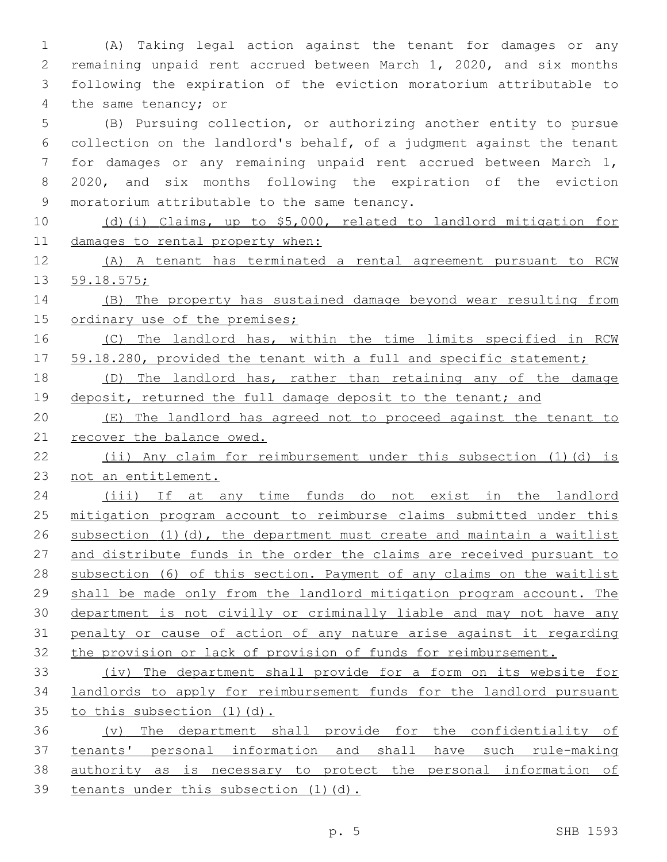(A) Taking legal action against the tenant for damages or any remaining unpaid rent accrued between March 1, 2020, and six months following the expiration of the eviction moratorium attributable to 4 the same tenancy; or

 (B) Pursuing collection, or authorizing another entity to pursue collection on the landlord's behalf, of a judgment against the tenant for damages or any remaining unpaid rent accrued between March 1, 2020, and six months following the expiration of the eviction 9 moratorium attributable to the same tenancy.

 (d)(i) Claims, up to \$5,000, related to landlord mitigation for damages to rental property when:

 (A) A tenant has terminated a rental agreement pursuant to RCW 59.18.575;

 (B) The property has sustained damage beyond wear resulting from 15 ordinary use of the premises;

16 (C) The landlord has, within the time limits specified in RCW 17 59.18.280, provided the tenant with a full and specific statement;

 (D) The landlord has, rather than retaining any of the damage 19 deposit, returned the full damage deposit to the tenant; and

 (E) The landlord has agreed not to proceed against the tenant to 21 recover the balance owed.

 (ii) Any claim for reimbursement under this subsection (1)(d) is not an entitlement.

 (iii) If at any time funds do not exist in the landlord mitigation program account to reimburse claims submitted under this subsection (1)(d), the department must create and maintain a waitlist and distribute funds in the order the claims are received pursuant to subsection (6) of this section. Payment of any claims on the waitlist shall be made only from the landlord mitigation program account. The department is not civilly or criminally liable and may not have any penalty or cause of action of any nature arise against it regarding the provision or lack of provision of funds for reimbursement.

 (iv) The department shall provide for a form on its website for landlords to apply for reimbursement funds for the landlord pursuant 35 to this subsection (1)(d).

 (v) The department shall provide for the confidentiality of tenants' personal information and shall have such rule-making authority as is necessary to protect the personal information of 39 tenants under this subsection (1)(d).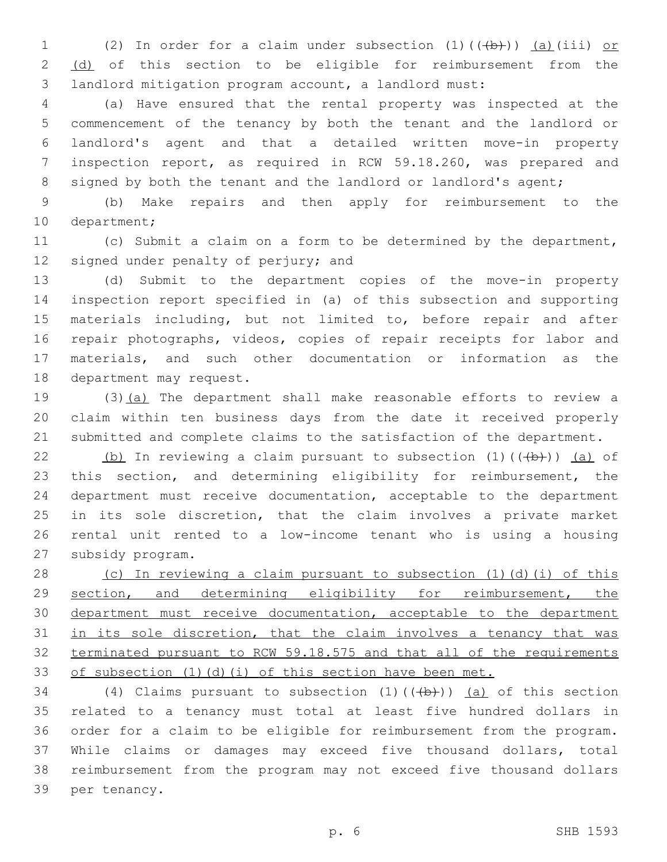1 (2) In order for a claim under subsection  $(1)$   $((+b))$   $(a)$  (iii) or 2 (d) of this section to be eligible for reimbursement from the landlord mitigation program account, a landlord must:

 (a) Have ensured that the rental property was inspected at the commencement of the tenancy by both the tenant and the landlord or landlord's agent and that a detailed written move-in property inspection report, as required in RCW 59.18.260, was prepared and 8 signed by both the tenant and the landlord or landlord's agent;

 (b) Make repairs and then apply for reimbursement to the 10 department;

 (c) Submit a claim on a form to be determined by the department, 12 signed under penalty of perjury; and

 (d) Submit to the department copies of the move-in property inspection report specified in (a) of this subsection and supporting materials including, but not limited to, before repair and after repair photographs, videos, copies of repair receipts for labor and materials, and such other documentation or information as the 18 department may request.

 (3)(a) The department shall make reasonable efforts to review a claim within ten business days from the date it received properly submitted and complete claims to the satisfaction of the department.

22 (b) In reviewing a claim pursuant to subsection  $(1)$   $((+b))$   $(a)$  of this section, and determining eligibility for reimbursement, the department must receive documentation, acceptable to the department in its sole discretion, that the claim involves a private market rental unit rented to a low-income tenant who is using a housing 27 subsidy program.

 (c) In reviewing a claim pursuant to subsection (1)(d)(i) of this section, and determining eligibility for reimbursement, the 30 department must receive documentation, acceptable to the department 31 in its sole discretion, that the claim involves a tenancy that was terminated pursuant to RCW 59.18.575 and that all of the requirements 33 of subsection (1)(d)(i) of this section have been met.

34 (4) Claims pursuant to subsection  $(1)$   $((+b))$   $(a)$  of this section related to a tenancy must total at least five hundred dollars in order for a claim to be eligible for reimbursement from the program. While claims or damages may exceed five thousand dollars, total reimbursement from the program may not exceed five thousand dollars 39 per tenancy.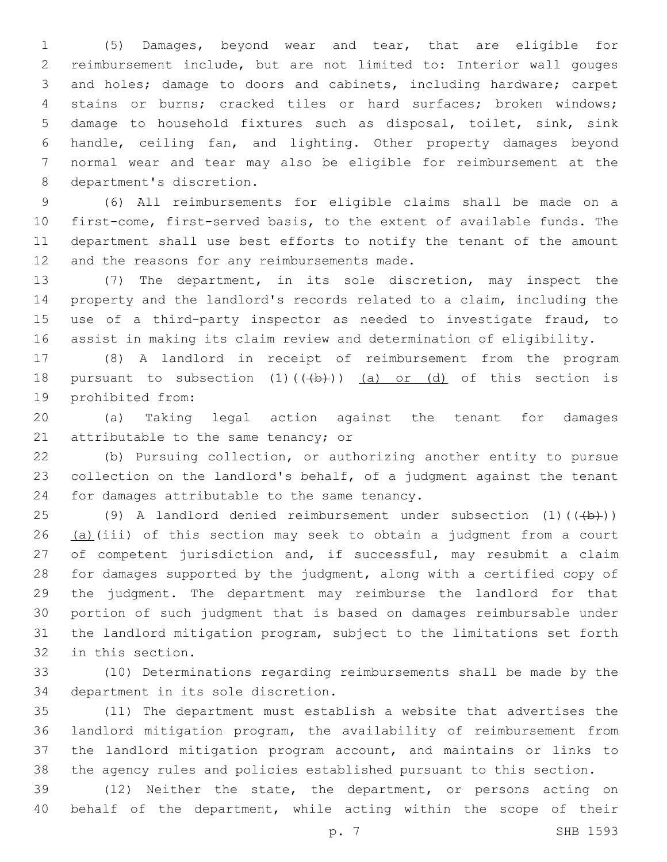(5) Damages, beyond wear and tear, that are eligible for reimbursement include, but are not limited to: Interior wall gouges and holes; damage to doors and cabinets, including hardware; carpet stains or burns; cracked tiles or hard surfaces; broken windows; damage to household fixtures such as disposal, toilet, sink, sink handle, ceiling fan, and lighting. Other property damages beyond normal wear and tear may also be eligible for reimbursement at the 8 department's discretion.

 (6) All reimbursements for eligible claims shall be made on a first-come, first-served basis, to the extent of available funds. The department shall use best efforts to notify the tenant of the amount 12 and the reasons for any reimbursements made.

 (7) The department, in its sole discretion, may inspect the property and the landlord's records related to a claim, including the use of a third-party inspector as needed to investigate fraud, to assist in making its claim review and determination of eligibility.

 (8) A landlord in receipt of reimbursement from the program 18 pursuant to subsection  $(1)$   $((+b))$   $(a)$  or  $(d)$  of this section is 19 prohibited from:

 (a) Taking legal action against the tenant for damages 21 attributable to the same tenancy; or

 (b) Pursuing collection, or authorizing another entity to pursue collection on the landlord's behalf, of a judgment against the tenant 24 for damages attributable to the same tenancy.

25 (9) A landlord denied reimbursement under subsection  $(1)$  ( $(\overline{(+b)})$ ) 26 (a)(iii) of this section may seek to obtain a judgment from a court 27 of competent jurisdiction and, if successful, may resubmit a claim for damages supported by the judgment, along with a certified copy of the judgment. The department may reimburse the landlord for that portion of such judgment that is based on damages reimbursable under the landlord mitigation program, subject to the limitations set forth 32 in this section.

 (10) Determinations regarding reimbursements shall be made by the 34 department in its sole discretion.

 (11) The department must establish a website that advertises the landlord mitigation program, the availability of reimbursement from the landlord mitigation program account, and maintains or links to the agency rules and policies established pursuant to this section.

 (12) Neither the state, the department, or persons acting on behalf of the department, while acting within the scope of their

p. 7 SHB 1593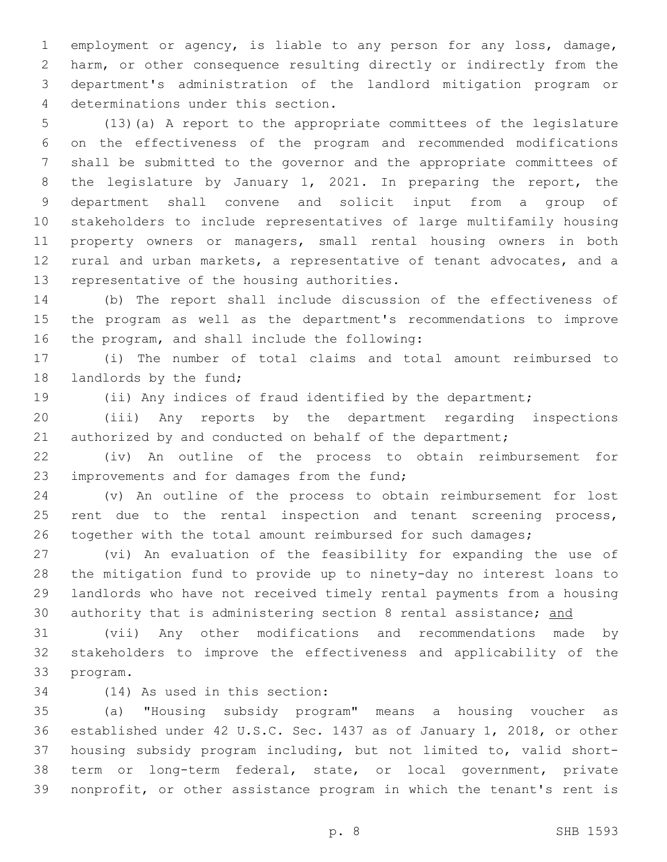employment or agency, is liable to any person for any loss, damage, harm, or other consequence resulting directly or indirectly from the department's administration of the landlord mitigation program or determinations under this section.4

 (13)(a) A report to the appropriate committees of the legislature on the effectiveness of the program and recommended modifications shall be submitted to the governor and the appropriate committees of the legislature by January 1, 2021. In preparing the report, the department shall convene and solicit input from a group of stakeholders to include representatives of large multifamily housing property owners or managers, small rental housing owners in both rural and urban markets, a representative of tenant advocates, and a 13 representative of the housing authorities.

 (b) The report shall include discussion of the effectiveness of the program as well as the department's recommendations to improve 16 the program, and shall include the following:

 (i) The number of total claims and total amount reimbursed to 18 landlords by the fund;

(ii) Any indices of fraud identified by the department;

 (iii) Any reports by the department regarding inspections 21 authorized by and conducted on behalf of the department;

 (iv) An outline of the process to obtain reimbursement for 23 improvements and for damages from the fund;

 (v) An outline of the process to obtain reimbursement for lost 25 rent due to the rental inspection and tenant screening process, 26 together with the total amount reimbursed for such damages;

 (vi) An evaluation of the feasibility for expanding the use of the mitigation fund to provide up to ninety-day no interest loans to landlords who have not received timely rental payments from a housing 30 authority that is administering section 8 rental assistance; and

 (vii) Any other modifications and recommendations made by stakeholders to improve the effectiveness and applicability of the 33 program.

34 (14) As used in this section:

 (a) "Housing subsidy program" means a housing voucher as established under 42 U.S.C. Sec. 1437 as of January 1, 2018, or other housing subsidy program including, but not limited to, valid short- term or long-term federal, state, or local government, private nonprofit, or other assistance program in which the tenant's rent is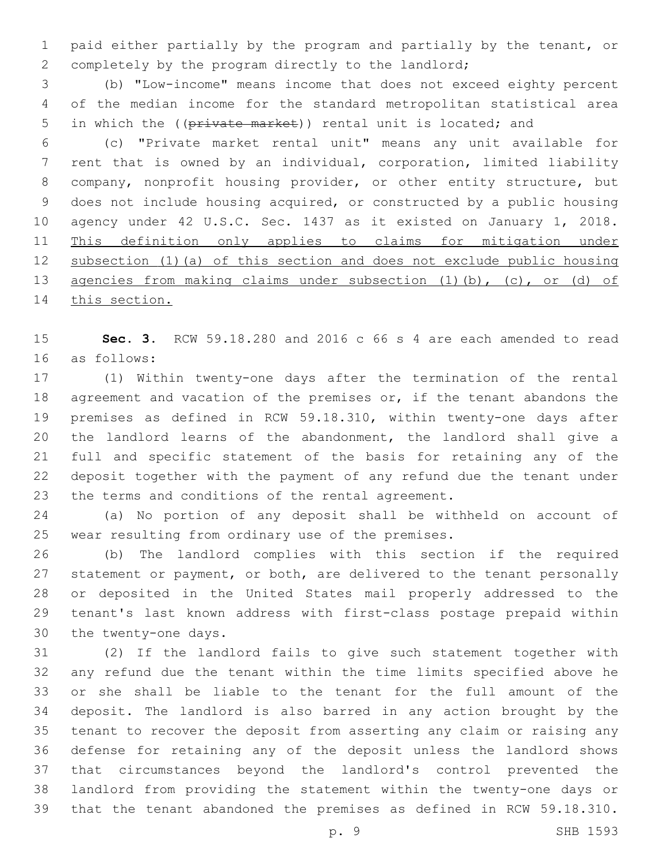paid either partially by the program and partially by the tenant, or completely by the program directly to the landlord;

 (b) "Low-income" means income that does not exceed eighty percent of the median income for the standard metropolitan statistical area 5 in which the ((private market)) rental unit is located; and

 (c) "Private market rental unit" means any unit available for rent that is owned by an individual, corporation, limited liability company, nonprofit housing provider, or other entity structure, but does not include housing acquired, or constructed by a public housing agency under 42 U.S.C. Sec. 1437 as it existed on January 1, 2018. This definition only applies to claims for mitigation under subsection (1)(a) of this section and does not exclude public housing agencies from making claims under subsection (1)(b), (c), or (d) of 14 this section.

 **Sec. 3.** RCW 59.18.280 and 2016 c 66 s 4 are each amended to read as follows:16

 (1) Within twenty-one days after the termination of the rental 18 agreement and vacation of the premises or, if the tenant abandons the premises as defined in RCW 59.18.310, within twenty-one days after the landlord learns of the abandonment, the landlord shall give a full and specific statement of the basis for retaining any of the deposit together with the payment of any refund due the tenant under 23 the terms and conditions of the rental agreement.

 (a) No portion of any deposit shall be withheld on account of 25 wear resulting from ordinary use of the premises.

 (b) The landlord complies with this section if the required 27 statement or payment, or both, are delivered to the tenant personally or deposited in the United States mail properly addressed to the tenant's last known address with first-class postage prepaid within 30 the twenty-one days.

 (2) If the landlord fails to give such statement together with any refund due the tenant within the time limits specified above he or she shall be liable to the tenant for the full amount of the deposit. The landlord is also barred in any action brought by the tenant to recover the deposit from asserting any claim or raising any defense for retaining any of the deposit unless the landlord shows that circumstances beyond the landlord's control prevented the landlord from providing the statement within the twenty-one days or that the tenant abandoned the premises as defined in RCW 59.18.310.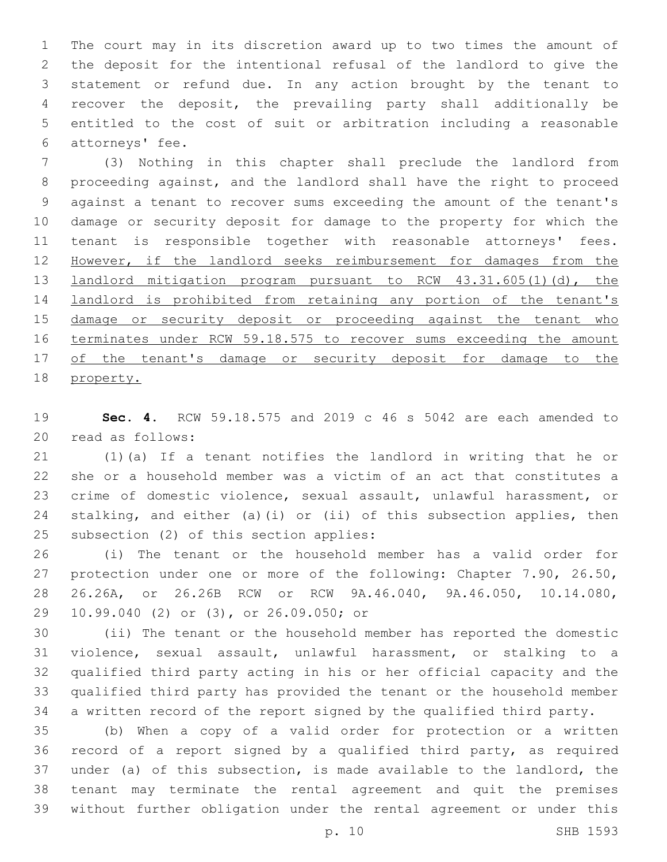The court may in its discretion award up to two times the amount of the deposit for the intentional refusal of the landlord to give the statement or refund due. In any action brought by the tenant to recover the deposit, the prevailing party shall additionally be entitled to the cost of suit or arbitration including a reasonable 6 attorneys' fee.

 (3) Nothing in this chapter shall preclude the landlord from proceeding against, and the landlord shall have the right to proceed against a tenant to recover sums exceeding the amount of the tenant's damage or security deposit for damage to the property for which the tenant is responsible together with reasonable attorneys' fees. However, if the landlord seeks reimbursement for damages from the landlord mitigation program pursuant to RCW 43.31.605(1)(d), the landlord is prohibited from retaining any portion of the tenant's 15 damage or security deposit or proceeding against the tenant who 16 terminates under RCW 59.18.575 to recover sums exceeding the amount 17 of the tenant's damage or security deposit for damage to the property.

 **Sec. 4.** RCW 59.18.575 and 2019 c 46 s 5042 are each amended to 20 read as follows:

 (1)(a) If a tenant notifies the landlord in writing that he or she or a household member was a victim of an act that constitutes a crime of domestic violence, sexual assault, unlawful harassment, or stalking, and either (a)(i) or (ii) of this subsection applies, then 25 subsection (2) of this section applies:

 (i) The tenant or the household member has a valid order for protection under one or more of the following: Chapter 7.90, 26.50, 26.26A, or 26.26B RCW or RCW 9A.46.040, 9A.46.050, 10.14.080, 29 10.99.040 (2) or (3), or 26.09.050; or

 (ii) The tenant or the household member has reported the domestic violence, sexual assault, unlawful harassment, or stalking to a qualified third party acting in his or her official capacity and the qualified third party has provided the tenant or the household member a written record of the report signed by the qualified third party.

 (b) When a copy of a valid order for protection or a written record of a report signed by a qualified third party, as required under (a) of this subsection, is made available to the landlord, the tenant may terminate the rental agreement and quit the premises without further obligation under the rental agreement or under this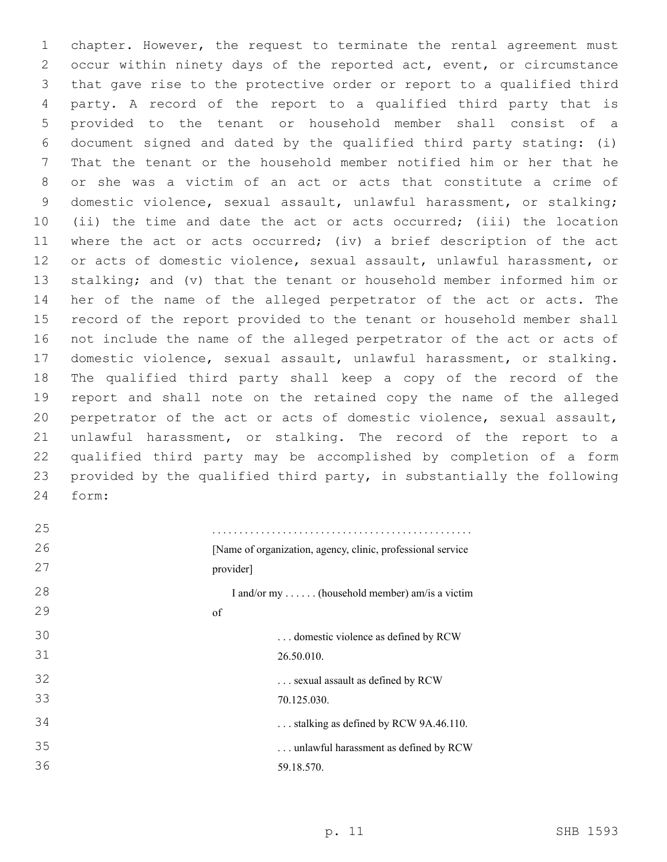chapter. However, the request to terminate the rental agreement must occur within ninety days of the reported act, event, or circumstance that gave rise to the protective order or report to a qualified third party. A record of the report to a qualified third party that is provided to the tenant or household member shall consist of a document signed and dated by the qualified third party stating: (i) That the tenant or the household member notified him or her that he or she was a victim of an act or acts that constitute a crime of domestic violence, sexual assault, unlawful harassment, or stalking; (ii) the time and date the act or acts occurred; (iii) the location where the act or acts occurred; (iv) a brief description of the act or acts of domestic violence, sexual assault, unlawful harassment, or stalking; and (v) that the tenant or household member informed him or her of the name of the alleged perpetrator of the act or acts. The record of the report provided to the tenant or household member shall not include the name of the alleged perpetrator of the act or acts of domestic violence, sexual assault, unlawful harassment, or stalking. The qualified third party shall keep a copy of the record of the report and shall note on the retained copy the name of the alleged perpetrator of the act or acts of domestic violence, sexual assault, unlawful harassment, or stalking. The record of the report to a qualified third party may be accomplished by completion of a form provided by the qualified third party, in substantially the following form:24

| 25 |                                                              |
|----|--------------------------------------------------------------|
| 26 | [Name of organization, agency, clinic, professional service] |
| 27 | provider]                                                    |
| 28 | I and/or my  (household member) am/is a victim               |
| 29 | of                                                           |
| 30 | domestic violence as defined by RCW                          |
| 31 | 26.50.010.                                                   |
| 32 | sexual assault as defined by RCW                             |
| 33 | 70.125.030.                                                  |
| 34 | stalking as defined by RCW 9A.46.110.                        |
| 35 | unlawful harassment as defined by RCW                        |
| 36 | 59.18.570.                                                   |
|    |                                                              |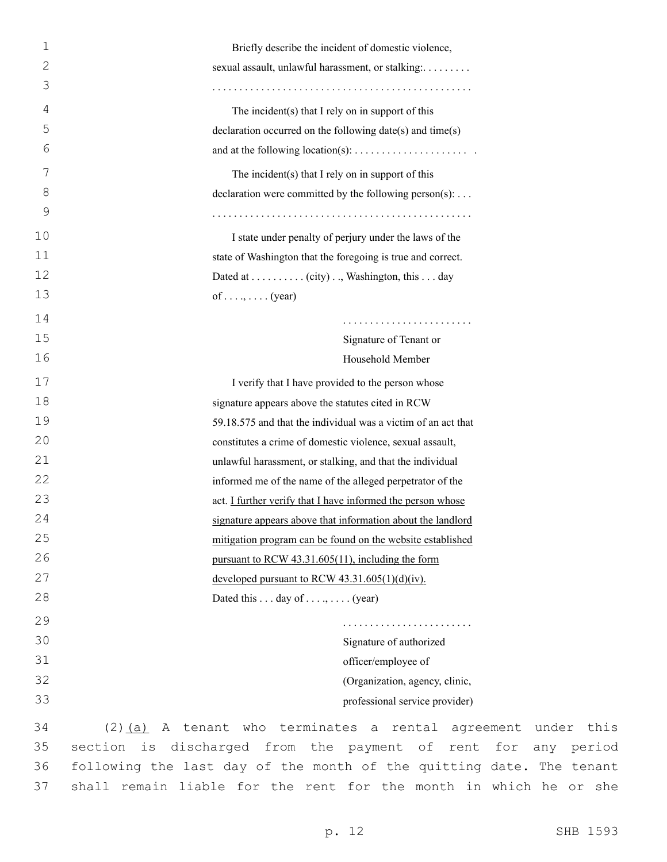| $\mathbf 1$  | Briefly describe the incident of domestic violence,                     |
|--------------|-------------------------------------------------------------------------|
| $\mathbf{2}$ | sexual assault, unlawful harassment, or stalking:                       |
| 3            |                                                                         |
| 4            | The incident(s) that I rely on in support of this                       |
| 5            | declaration occurred on the following date(s) and time(s)               |
| 6            | and at the following location(s): $\dots \dots \dots \dots \dots \dots$ |
| 7            | The incident $(s)$ that I rely on in support of this                    |
| 8            | declaration were committed by the following person(s):                  |
| 9            |                                                                         |
| 10           | I state under penalty of perjury under the laws of the                  |
| 11           | state of Washington that the foregoing is true and correct.             |
| 12           | Dated at (city), Washington, this day                                   |
| 13           | of (year)                                                               |
| 14           |                                                                         |
| 15           | Signature of Tenant or                                                  |
| 16           | Household Member                                                        |
| 17           | I verify that I have provided to the person whose                       |
| 18           | signature appears above the statutes cited in RCW                       |
| 19           | 59.18.575 and that the individual was a victim of an act that           |
| 20           | constitutes a crime of domestic violence, sexual assault,               |
| 21           | unlawful harassment, or stalking, and that the individual               |
| 22           | informed me of the name of the alleged perpetrator of the               |
| 23           | act. I further verify that I have informed the person whose             |
| 24           | signature appears above that information about the landlord             |
| 25           | mitigation program can be found on the website established              |
| 26           | pursuant to RCW 43.31.605(11), including the form                       |
| 27           | developed pursuant to RCW $43.31.605(1)(d)(iv)$ .                       |
| 28           | Dated this $\dots$ day of $\dots$ , $\dots$ (year)                      |
| 29           |                                                                         |
| 30           | Signature of authorized                                                 |
| 31           | officer/employee of                                                     |
| 32           | (Organization, agency, clinic,                                          |
| 33           | professional service provider)                                          |
| 34           | A tenant who terminates a rental<br>$(2)$ $(a)$<br>agreeme              |
| 35           | section is discharged from the payment of rent f                        |

ent under this section is discharged from the payment of rent for any period following the last day of the month of the quitting date. The tenant shall remain liable for the rent for the month in which he or she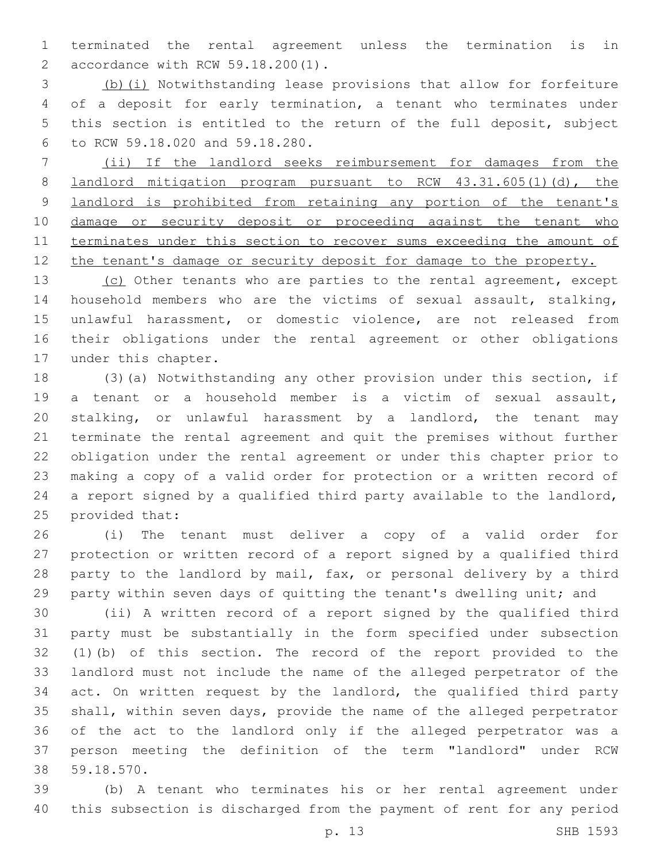terminated the rental agreement unless the termination is in accordance with RCW 59.18.200(1).2

 (b)(i) Notwithstanding lease provisions that allow for forfeiture of a deposit for early termination, a tenant who terminates under this section is entitled to the return of the full deposit, subject to RCW 59.18.020 and 59.18.280.6

 (ii) If the landlord seeks reimbursement for damages from the **landlord mitigation program pursuant to RCW 43.31.605(1)(d), the** 9 landlord is prohibited from retaining any portion of the tenant's damage or security deposit or proceeding against the tenant who terminates under this section to recover sums exceeding the amount of 12 the tenant's damage or security deposit for damage to the property.

13 (c) Other tenants who are parties to the rental agreement, except household members who are the victims of sexual assault, stalking, unlawful harassment, or domestic violence, are not released from their obligations under the rental agreement or other obligations 17 under this chapter.

 (3)(a) Notwithstanding any other provision under this section, if a tenant or a household member is a victim of sexual assault, stalking, or unlawful harassment by a landlord, the tenant may terminate the rental agreement and quit the premises without further obligation under the rental agreement or under this chapter prior to making a copy of a valid order for protection or a written record of a report signed by a qualified third party available to the landlord, 25 provided that:

 (i) The tenant must deliver a copy of a valid order for protection or written record of a report signed by a qualified third party to the landlord by mail, fax, or personal delivery by a third party within seven days of quitting the tenant's dwelling unit; and

 (ii) A written record of a report signed by the qualified third party must be substantially in the form specified under subsection (1)(b) of this section. The record of the report provided to the landlord must not include the name of the alleged perpetrator of the act. On written request by the landlord, the qualified third party shall, within seven days, provide the name of the alleged perpetrator of the act to the landlord only if the alleged perpetrator was a person meeting the definition of the term "landlord" under RCW 59.18.570.38

 (b) A tenant who terminates his or her rental agreement under this subsection is discharged from the payment of rent for any period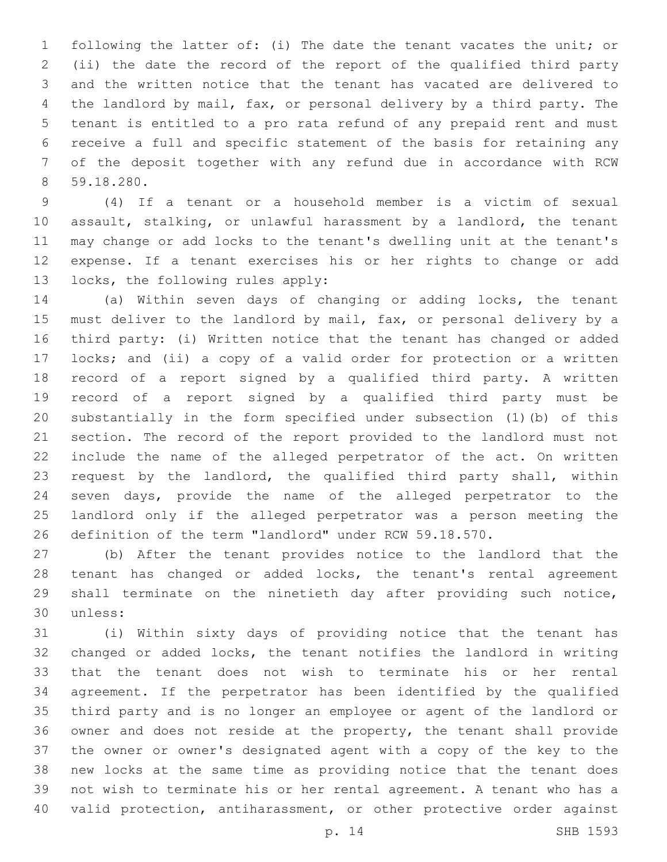following the latter of: (i) The date the tenant vacates the unit; or (ii) the date the record of the report of the qualified third party and the written notice that the tenant has vacated are delivered to the landlord by mail, fax, or personal delivery by a third party. The tenant is entitled to a pro rata refund of any prepaid rent and must receive a full and specific statement of the basis for retaining any of the deposit together with any refund due in accordance with RCW 59.18.280.8

 (4) If a tenant or a household member is a victim of sexual assault, stalking, or unlawful harassment by a landlord, the tenant may change or add locks to the tenant's dwelling unit at the tenant's expense. If a tenant exercises his or her rights to change or add 13 locks, the following rules apply:

 (a) Within seven days of changing or adding locks, the tenant must deliver to the landlord by mail, fax, or personal delivery by a third party: (i) Written notice that the tenant has changed or added locks; and (ii) a copy of a valid order for protection or a written record of a report signed by a qualified third party. A written record of a report signed by a qualified third party must be substantially in the form specified under subsection (1)(b) of this section. The record of the report provided to the landlord must not include the name of the alleged perpetrator of the act. On written request by the landlord, the qualified third party shall, within seven days, provide the name of the alleged perpetrator to the landlord only if the alleged perpetrator was a person meeting the definition of the term "landlord" under RCW 59.18.570.

 (b) After the tenant provides notice to the landlord that the tenant has changed or added locks, the tenant's rental agreement shall terminate on the ninetieth day after providing such notice, 30 unless:

 (i) Within sixty days of providing notice that the tenant has changed or added locks, the tenant notifies the landlord in writing that the tenant does not wish to terminate his or her rental agreement. If the perpetrator has been identified by the qualified third party and is no longer an employee or agent of the landlord or owner and does not reside at the property, the tenant shall provide the owner or owner's designated agent with a copy of the key to the new locks at the same time as providing notice that the tenant does not wish to terminate his or her rental agreement. A tenant who has a valid protection, antiharassment, or other protective order against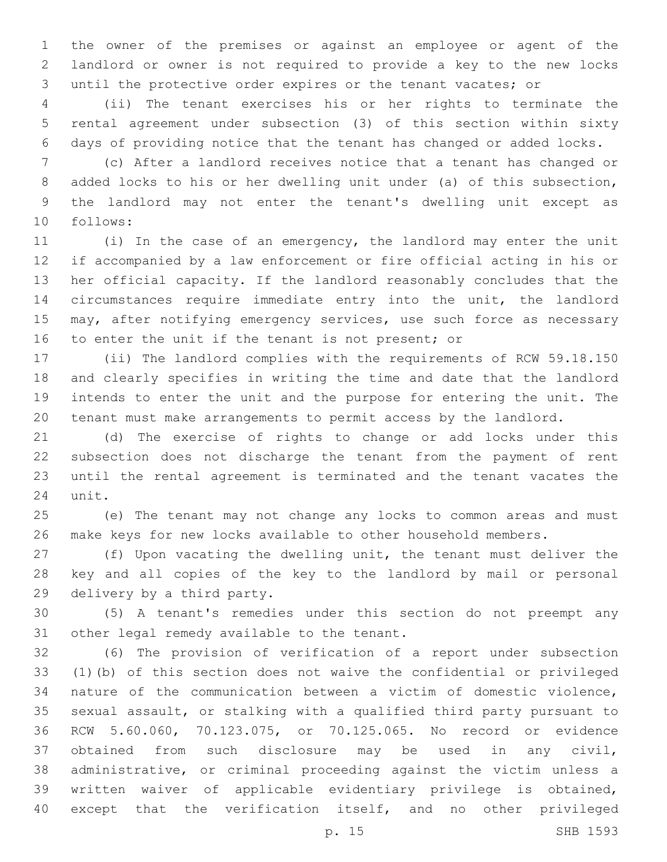the owner of the premises or against an employee or agent of the landlord or owner is not required to provide a key to the new locks until the protective order expires or the tenant vacates; or

 (ii) The tenant exercises his or her rights to terminate the rental agreement under subsection (3) of this section within sixty days of providing notice that the tenant has changed or added locks.

 (c) After a landlord receives notice that a tenant has changed or added locks to his or her dwelling unit under (a) of this subsection, the landlord may not enter the tenant's dwelling unit except as follows:10

 (i) In the case of an emergency, the landlord may enter the unit if accompanied by a law enforcement or fire official acting in his or her official capacity. If the landlord reasonably concludes that the circumstances require immediate entry into the unit, the landlord may, after notifying emergency services, use such force as necessary 16 to enter the unit if the tenant is not present; or

 (ii) The landlord complies with the requirements of RCW 59.18.150 and clearly specifies in writing the time and date that the landlord intends to enter the unit and the purpose for entering the unit. The tenant must make arrangements to permit access by the landlord.

 (d) The exercise of rights to change or add locks under this subsection does not discharge the tenant from the payment of rent until the rental agreement is terminated and the tenant vacates the 24 unit.

 (e) The tenant may not change any locks to common areas and must make keys for new locks available to other household members.

 (f) Upon vacating the dwelling unit, the tenant must deliver the key and all copies of the key to the landlord by mail or personal 29 delivery by a third party.

 (5) A tenant's remedies under this section do not preempt any 31 other legal remedy available to the tenant.

 (6) The provision of verification of a report under subsection (1)(b) of this section does not waive the confidential or privileged nature of the communication between a victim of domestic violence, sexual assault, or stalking with a qualified third party pursuant to RCW 5.60.060, 70.123.075, or 70.125.065. No record or evidence obtained from such disclosure may be used in any civil, administrative, or criminal proceeding against the victim unless a written waiver of applicable evidentiary privilege is obtained, except that the verification itself, and no other privileged

p. 15 SHB 1593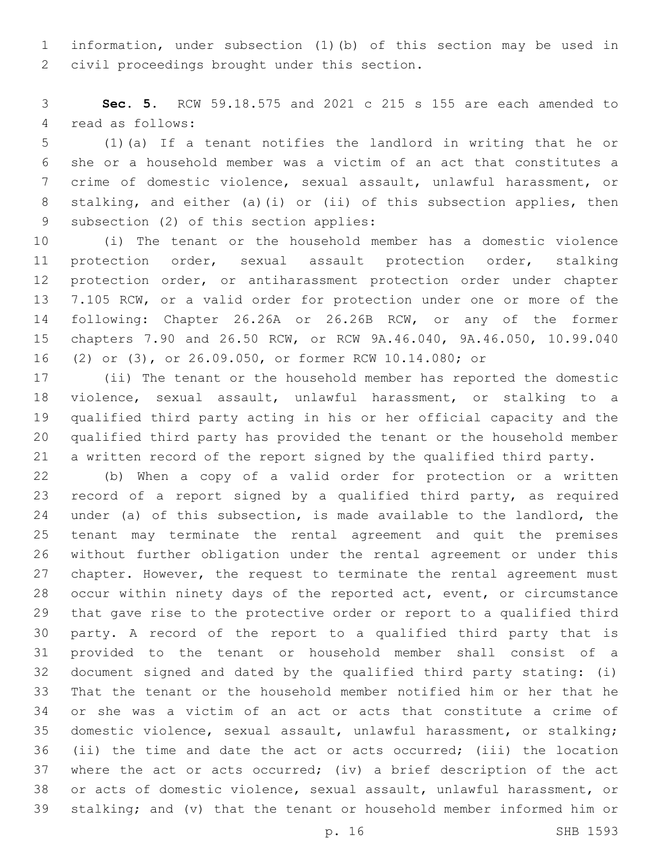information, under subsection (1)(b) of this section may be used in 2 civil proceedings brought under this section.

 **Sec. 5.** RCW 59.18.575 and 2021 c 215 s 155 are each amended to 4 read as follows:

 (1)(a) If a tenant notifies the landlord in writing that he or she or a household member was a victim of an act that constitutes a crime of domestic violence, sexual assault, unlawful harassment, or stalking, and either (a)(i) or (ii) of this subsection applies, then 9 subsection (2) of this section applies:

 (i) The tenant or the household member has a domestic violence protection order, sexual assault protection order, stalking protection order, or antiharassment protection order under chapter 7.105 RCW, or a valid order for protection under one or more of the following: Chapter 26.26A or 26.26B RCW, or any of the former chapters 7.90 and 26.50 RCW, or RCW 9A.46.040, 9A.46.050, 10.99.040 (2) or (3), or 26.09.050, or former RCW 10.14.080; or

 (ii) The tenant or the household member has reported the domestic violence, sexual assault, unlawful harassment, or stalking to a qualified third party acting in his or her official capacity and the qualified third party has provided the tenant or the household member a written record of the report signed by the qualified third party.

 (b) When a copy of a valid order for protection or a written record of a report signed by a qualified third party, as required under (a) of this subsection, is made available to the landlord, the tenant may terminate the rental agreement and quit the premises without further obligation under the rental agreement or under this chapter. However, the request to terminate the rental agreement must occur within ninety days of the reported act, event, or circumstance that gave rise to the protective order or report to a qualified third party. A record of the report to a qualified third party that is provided to the tenant or household member shall consist of a document signed and dated by the qualified third party stating: (i) That the tenant or the household member notified him or her that he or she was a victim of an act or acts that constitute a crime of domestic violence, sexual assault, unlawful harassment, or stalking; (ii) the time and date the act or acts occurred; (iii) the location where the act or acts occurred; (iv) a brief description of the act or acts of domestic violence, sexual assault, unlawful harassment, or stalking; and (v) that the tenant or household member informed him or

p. 16 SHB 1593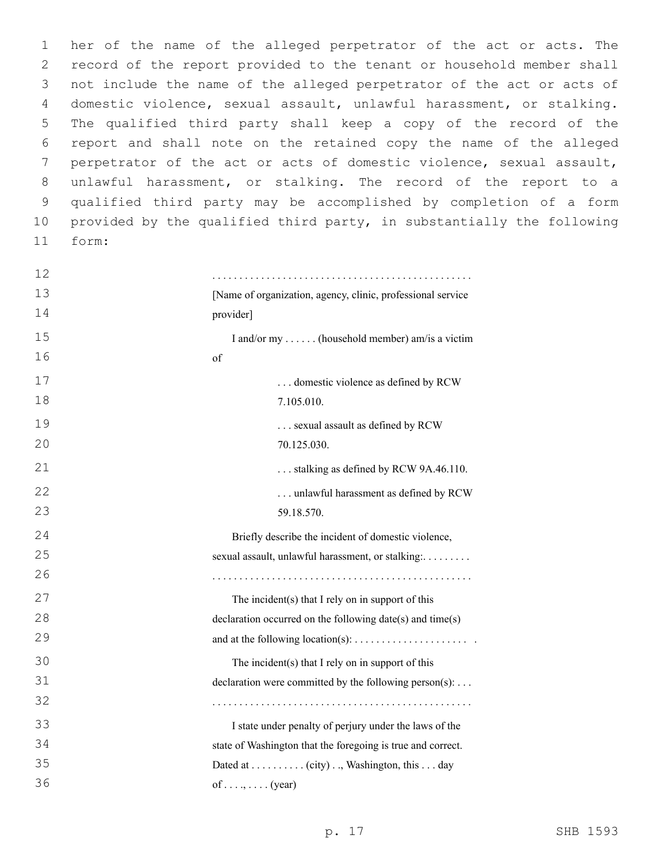her of the name of the alleged perpetrator of the act or acts. The record of the report provided to the tenant or household member shall not include the name of the alleged perpetrator of the act or acts of domestic violence, sexual assault, unlawful harassment, or stalking. The qualified third party shall keep a copy of the record of the report and shall note on the retained copy the name of the alleged perpetrator of the act or acts of domestic violence, sexual assault, unlawful harassment, or stalking. The record of the report to a qualified third party may be accomplished by completion of a form provided by the qualified third party, in substantially the following form:11

| 12 |                                                             |
|----|-------------------------------------------------------------|
| 13 | [Name of organization, agency, clinic, professional service |
| 14 | provider]                                                   |
| 15 | I and/or my  (household member) am/is a victim              |
| 16 | of                                                          |
| 17 | domestic violence as defined by RCW                         |
| 18 | 7.105.010.                                                  |
| 19 | sexual assault as defined by RCW                            |
| 20 | 70.125.030.                                                 |
| 21 | stalking as defined by RCW 9A.46.110.                       |
| 22 | unlawful harassment as defined by RCW                       |
| 23 | 59.18.570.                                                  |
| 24 | Briefly describe the incident of domestic violence,         |
| 25 | sexual assault, unlawful harassment, or stalking:           |
| 26 |                                                             |
| 27 | The incident(s) that I rely on in support of this           |
| 28 | declaration occurred on the following date(s) and time(s)   |
| 29 |                                                             |
| 30 | The incident(s) that I rely on in support of this           |
| 31 | declaration were committed by the following person(s):      |
| 32 |                                                             |
| 33 | I state under penalty of perjury under the laws of the      |
| 34 | state of Washington that the foregoing is true and correct. |
| 35 | Dated at (city), Washington, this day                       |
| 36 | of (year)                                                   |
|    |                                                             |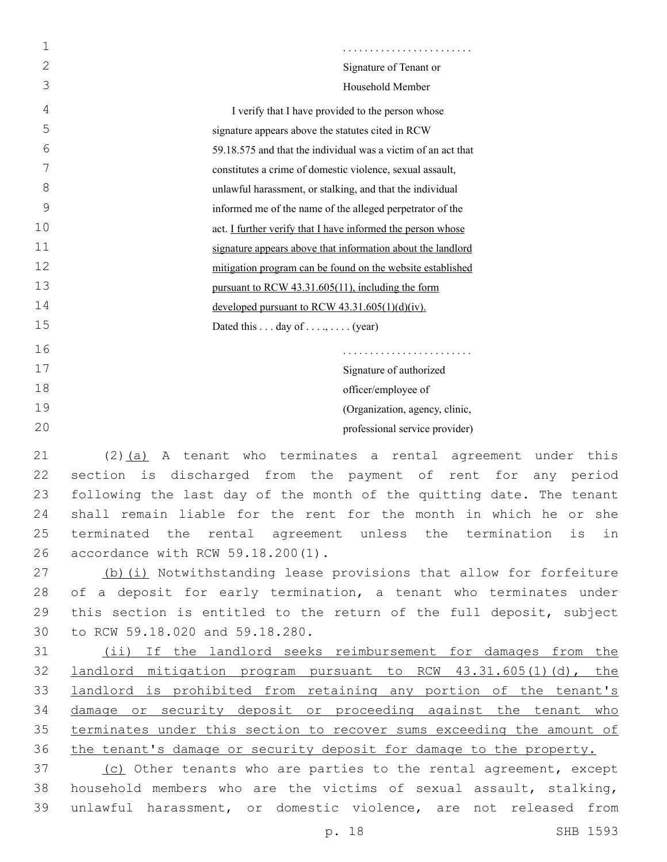| 1  |                                                               |
|----|---------------------------------------------------------------|
| 2  | Signature of Tenant or                                        |
| 3  | Household Member                                              |
| 4  | I verify that I have provided to the person whose             |
| 5  | signature appears above the statutes cited in RCW             |
| 6  | 59.18.575 and that the individual was a victim of an act that |
| 7  | constitutes a crime of domestic violence, sexual assault,     |
| 8  | unlawful harassment, or stalking, and that the individual     |
| 9  | informed me of the name of the alleged perpetrator of the     |
| 10 | act. I further verify that I have informed the person whose   |
| 11 | signature appears above that information about the landlord   |
| 12 | mitigation program can be found on the website established    |
| 13 | pursuant to RCW 43.31.605(11), including the form             |
| 14 | developed pursuant to RCW $43.31.605(1)(d)(iv)$ .             |
| 15 | Dated this $\dots$ day of $\dots$ , $\dots$ (year)            |
| 16 |                                                               |
| 17 | Signature of authorized                                       |
| 18 | officer/employee of                                           |
| 19 | (Organization, agency, clinic,                                |
| 20 | professional service provider)                                |
|    |                                                               |

 (2)(a) A tenant who terminates a rental agreement under this section is discharged from the payment of rent for any period following the last day of the month of the quitting date. The tenant shall remain liable for the rent for the month in which he or she terminated the rental agreement unless the termination is in 26 accordance with RCW 59.18.200(1).

27 (b)(i) Notwithstanding lease provisions that allow for forfeiture 28 of a deposit for early termination, a tenant who terminates under 29 this section is entitled to the return of the full deposit, subject 30 to RCW 59.18.020 and 59.18.280.

31 (ii) If the landlord seeks reimbursement for damages from the 32 landlord mitigation program pursuant to RCW 43.31.605(1)(d), the 33 landlord is prohibited from retaining any portion of the tenant's 34 damage or security deposit or proceeding against the tenant who 35 terminates under this section to recover sums exceeding the amount of 36 the tenant's damage or security deposit for damage to the property.

37 (c) Other tenants who are parties to the rental agreement, except 38 household members who are the victims of sexual assault, stalking, 39 unlawful harassment, or domestic violence, are not released from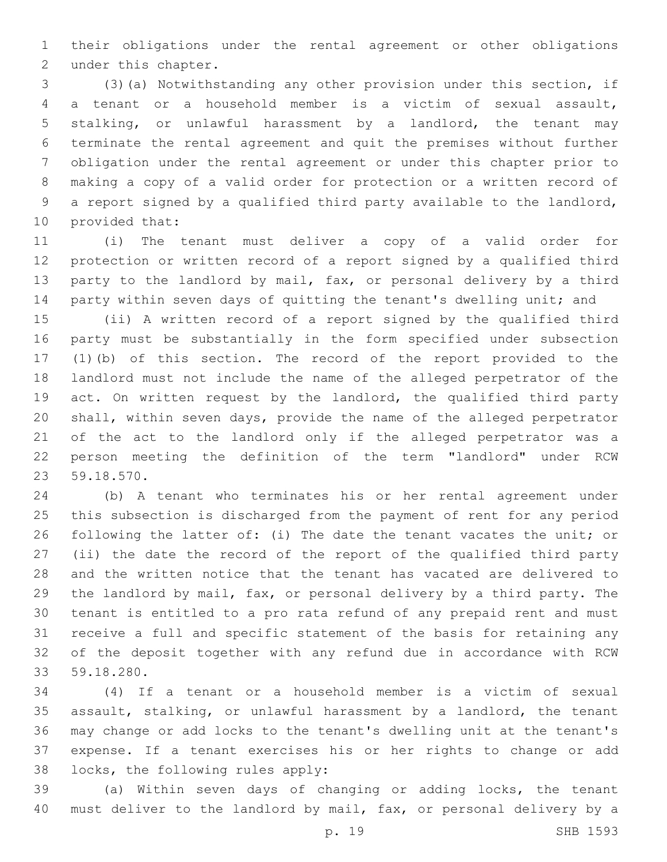their obligations under the rental agreement or other obligations 2 under this chapter.

 (3)(a) Notwithstanding any other provision under this section, if a tenant or a household member is a victim of sexual assault, stalking, or unlawful harassment by a landlord, the tenant may terminate the rental agreement and quit the premises without further obligation under the rental agreement or under this chapter prior to making a copy of a valid order for protection or a written record of a report signed by a qualified third party available to the landlord, 10 provided that:

 (i) The tenant must deliver a copy of a valid order for protection or written record of a report signed by a qualified third party to the landlord by mail, fax, or personal delivery by a third 14 party within seven days of quitting the tenant's dwelling unit; and

 (ii) A written record of a report signed by the qualified third party must be substantially in the form specified under subsection (1)(b) of this section. The record of the report provided to the landlord must not include the name of the alleged perpetrator of the act. On written request by the landlord, the qualified third party shall, within seven days, provide the name of the alleged perpetrator of the act to the landlord only if the alleged perpetrator was a person meeting the definition of the term "landlord" under RCW 59.18.570.23

 (b) A tenant who terminates his or her rental agreement under this subsection is discharged from the payment of rent for any period following the latter of: (i) The date the tenant vacates the unit; or (ii) the date the record of the report of the qualified third party and the written notice that the tenant has vacated are delivered to the landlord by mail, fax, or personal delivery by a third party. The tenant is entitled to a pro rata refund of any prepaid rent and must receive a full and specific statement of the basis for retaining any of the deposit together with any refund due in accordance with RCW 59.18.280.33

 (4) If a tenant or a household member is a victim of sexual assault, stalking, or unlawful harassment by a landlord, the tenant may change or add locks to the tenant's dwelling unit at the tenant's expense. If a tenant exercises his or her rights to change or add 38 locks, the following rules apply:

 (a) Within seven days of changing or adding locks, the tenant must deliver to the landlord by mail, fax, or personal delivery by a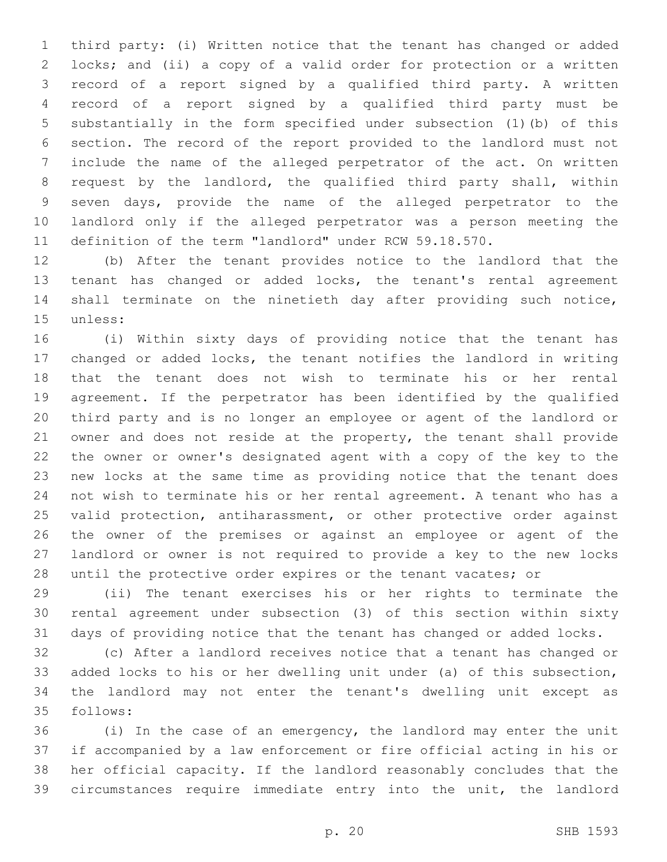third party: (i) Written notice that the tenant has changed or added locks; and (ii) a copy of a valid order for protection or a written record of a report signed by a qualified third party. A written record of a report signed by a qualified third party must be substantially in the form specified under subsection (1)(b) of this section. The record of the report provided to the landlord must not include the name of the alleged perpetrator of the act. On written request by the landlord, the qualified third party shall, within seven days, provide the name of the alleged perpetrator to the landlord only if the alleged perpetrator was a person meeting the definition of the term "landlord" under RCW 59.18.570.

 (b) After the tenant provides notice to the landlord that the tenant has changed or added locks, the tenant's rental agreement shall terminate on the ninetieth day after providing such notice, 15 unless:

 (i) Within sixty days of providing notice that the tenant has changed or added locks, the tenant notifies the landlord in writing that the tenant does not wish to terminate his or her rental agreement. If the perpetrator has been identified by the qualified third party and is no longer an employee or agent of the landlord or owner and does not reside at the property, the tenant shall provide the owner or owner's designated agent with a copy of the key to the new locks at the same time as providing notice that the tenant does not wish to terminate his or her rental agreement. A tenant who has a valid protection, antiharassment, or other protective order against the owner of the premises or against an employee or agent of the landlord or owner is not required to provide a key to the new locks 28 until the protective order expires or the tenant vacates; or

 (ii) The tenant exercises his or her rights to terminate the rental agreement under subsection (3) of this section within sixty days of providing notice that the tenant has changed or added locks.

 (c) After a landlord receives notice that a tenant has changed or added locks to his or her dwelling unit under (a) of this subsection, the landlord may not enter the tenant's dwelling unit except as 35 follows:

 (i) In the case of an emergency, the landlord may enter the unit if accompanied by a law enforcement or fire official acting in his or her official capacity. If the landlord reasonably concludes that the circumstances require immediate entry into the unit, the landlord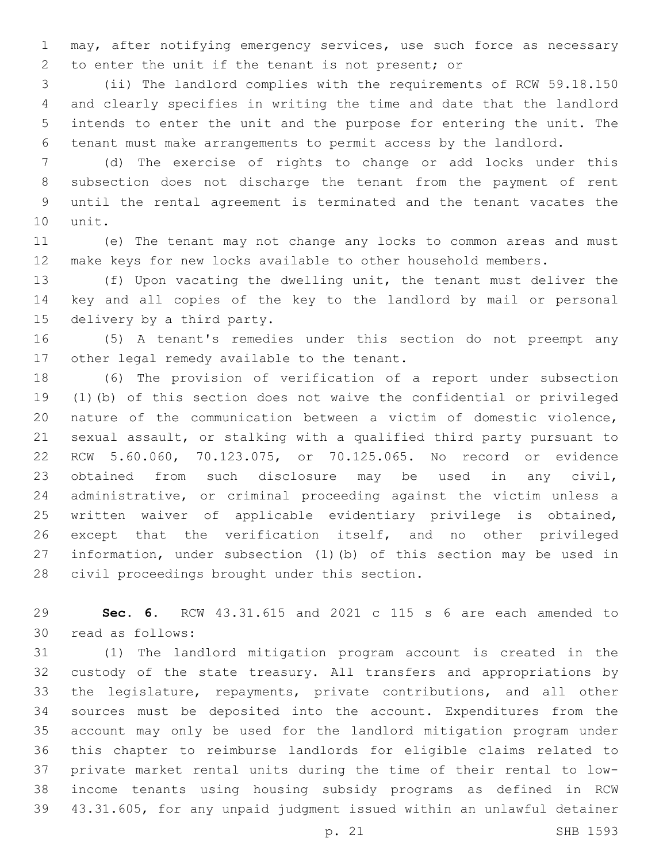may, after notifying emergency services, use such force as necessary 2 to enter the unit if the tenant is not present; or

 (ii) The landlord complies with the requirements of RCW 59.18.150 and clearly specifies in writing the time and date that the landlord intends to enter the unit and the purpose for entering the unit. The tenant must make arrangements to permit access by the landlord.

 (d) The exercise of rights to change or add locks under this subsection does not discharge the tenant from the payment of rent until the rental agreement is terminated and the tenant vacates the 10 unit.

 (e) The tenant may not change any locks to common areas and must make keys for new locks available to other household members.

 (f) Upon vacating the dwelling unit, the tenant must deliver the key and all copies of the key to the landlord by mail or personal 15 delivery by a third party.

 (5) A tenant's remedies under this section do not preempt any 17 other legal remedy available to the tenant.

 (6) The provision of verification of a report under subsection (1)(b) of this section does not waive the confidential or privileged nature of the communication between a victim of domestic violence, sexual assault, or stalking with a qualified third party pursuant to RCW 5.60.060, 70.123.075, or 70.125.065. No record or evidence obtained from such disclosure may be used in any civil, administrative, or criminal proceeding against the victim unless a written waiver of applicable evidentiary privilege is obtained, except that the verification itself, and no other privileged information, under subsection (1)(b) of this section may be used in 28 civil proceedings brought under this section.

 **Sec. 6.** RCW 43.31.615 and 2021 c 115 s 6 are each amended to 30 read as follows:

 (1) The landlord mitigation program account is created in the custody of the state treasury. All transfers and appropriations by the legislature, repayments, private contributions, and all other sources must be deposited into the account. Expenditures from the account may only be used for the landlord mitigation program under this chapter to reimburse landlords for eligible claims related to private market rental units during the time of their rental to low- income tenants using housing subsidy programs as defined in RCW 43.31.605, for any unpaid judgment issued within an unlawful detainer

p. 21 SHB 1593